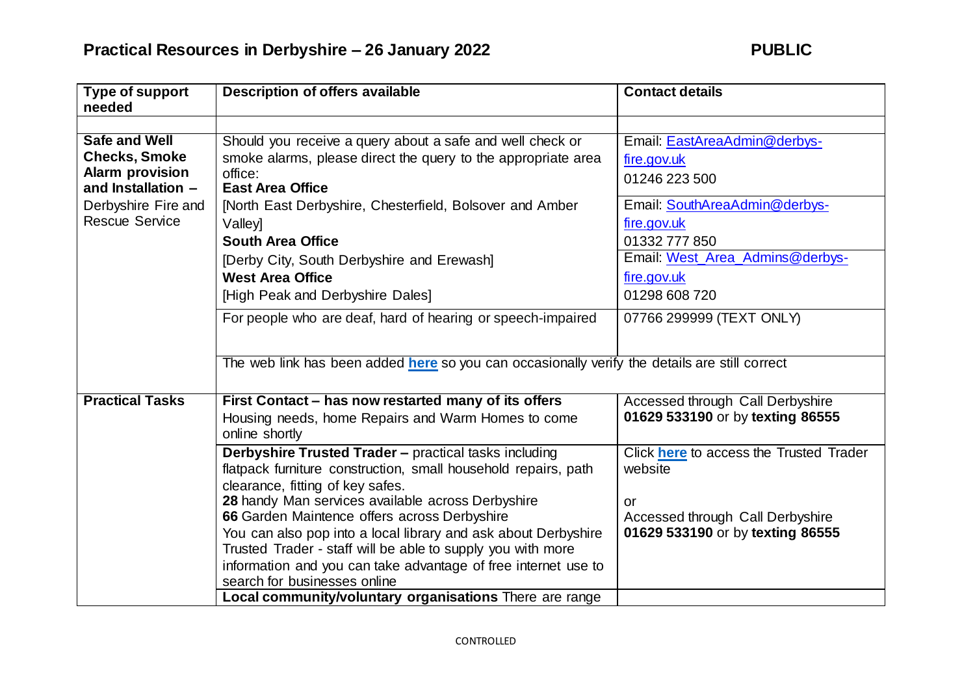| Type of support<br>needed | <b>Description of offers available</b>                                                        | <b>Contact details</b>                  |
|---------------------------|-----------------------------------------------------------------------------------------------|-----------------------------------------|
|                           |                                                                                               |                                         |
| <b>Safe and Well</b>      | Should you receive a query about a safe and well check or                                     | Email: EastAreaAdmin@derbys-            |
| <b>Checks, Smoke</b>      | smoke alarms, please direct the query to the appropriate area                                 | fire.gov.uk                             |
| <b>Alarm provision</b>    | office:                                                                                       | 01246 223 500                           |
| and Installation -        | <b>East Area Office</b>                                                                       |                                         |
| Derbyshire Fire and       | [North East Derbyshire, Chesterfield, Bolsover and Amber                                      | Email: SouthAreaAdmin@derbys-           |
| <b>Rescue Service</b>     | Valley]                                                                                       | fire.gov.uk                             |
|                           | <b>South Area Office</b>                                                                      | 01332 777 850                           |
|                           | [Derby City, South Derbyshire and Erewash]                                                    | Email: West_Area_Admins@derbys-         |
|                           | <b>West Area Office</b>                                                                       | fire.gov.uk                             |
|                           | [High Peak and Derbyshire Dales]                                                              | 01298 608 720                           |
|                           | For people who are deaf, hard of hearing or speech-impaired                                   | 07766 299999 (TEXT ONLY)                |
|                           |                                                                                               |                                         |
|                           | The web link has been added here so you can occasionally verify the details are still correct |                                         |
|                           |                                                                                               |                                         |
| <b>Practical Tasks</b>    | First Contact - has now restarted many of its offers                                          | Accessed through Call Derbyshire        |
|                           | Housing needs, home Repairs and Warm Homes to come                                            | 01629 533190 or by texting 86555        |
|                           | online shortly                                                                                |                                         |
|                           | Derbyshire Trusted Trader - practical tasks including                                         | Click here to access the Trusted Trader |
|                           | flatpack furniture construction, small household repairs, path                                | website                                 |
|                           | clearance, fitting of key safes.                                                              |                                         |
|                           | 28 handy Man services available across Derbyshire                                             | or                                      |
|                           | 66 Garden Maintence offers across Derbyshire                                                  | Accessed through Call Derbyshire        |
|                           | You can also pop into a local library and ask about Derbyshire                                | 01629 533190 or by texting 86555        |
|                           | Trusted Trader - staff will be able to supply you with more                                   |                                         |
|                           | information and you can take advantage of free internet use to                                |                                         |
|                           | search for businesses online                                                                  |                                         |
|                           | Local community/voluntary organisations There are range                                       |                                         |